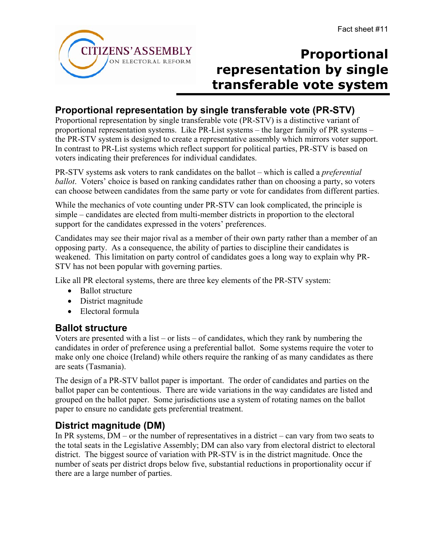

# **Proportional representation by single transferable vote system**

## **Proportional representation by single transferable vote (PR-STV)**

Proportional representation by single transferable vote (PR-STV) is a distinctive variant of proportional representation systems. Like PR-List systems – the larger family of PR systems – the PR-STV system is designed to create a representative assembly which mirrors voter support. In contrast to PR-List systems which reflect support for political parties, PR-STV is based on voters indicating their preferences for individual candidates.

PR-STV systems ask voters to rank candidates on the ballot – which is called a *preferential ballot*. Voters' choice is based on ranking candidates rather than on choosing a party, so voters can choose between candidates from the same party or vote for candidates from different parties.

While the mechanics of vote counting under PR-STV can look complicated, the principle is simple – candidates are elected from multi-member districts in proportion to the electoral support for the candidates expressed in the voters' preferences.

Candidates may see their major rival as a member of their own party rather than a member of an opposing party. As a consequence, the ability of parties to discipline their candidates is weakened. This limitation on party control of candidates goes a long way to explain why PR-STV has not been popular with governing parties.

Like all PR electoral systems, there are three key elements of the PR-STV system:

- Ballot structure
- District magnitude
- Electoral formula

#### **Ballot structure**

Voters are presented with a list – or lists – of candidates, which they rank by numbering the candidates in order of preference using a preferential ballot. Some systems require the voter to make only one choice (Ireland) while others require the ranking of as many candidates as there are seats (Tasmania).

The design of a PR-STV ballot paper is important. The order of candidates and parties on the ballot paper can be contentious. There are wide variations in the way candidates are listed and grouped on the ballot paper. Some jurisdictions use a system of rotating names on the ballot paper to ensure no candidate gets preferential treatment.

## **District magnitude (DM)**

In PR systems,  $DM - or$  the number of representatives in a district – can vary from two seats to the total seats in the Legislative Assembly; DM can also vary from electoral district to electoral district. The biggest source of variation with PR-STV is in the district magnitude. Once the number of seats per district drops below five, substantial reductions in proportionality occur if there are a large number of parties.